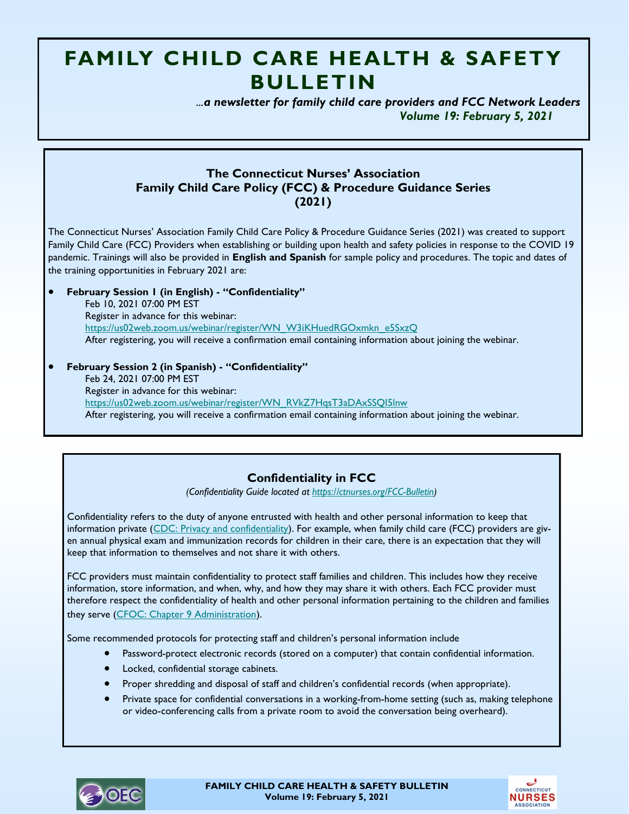# **FAMILY CHILD CARE HEALTH & SAFETY BULLETIN**

 *...a newsletter for family child care providers and FCC Network Leaders Volume 19: February 5, 2021*

### **The Connecticut Nurses' Association Family Child Care Policy (FCC) & Procedure Guidance Series (2021)**

The Connecticut Nurses' Association Family Child Care Policy & Procedure Guidance Series (2021) was created to support Family Child Care (FCC) Providers when establishing or building upon health and safety policies in response to the COVID 19 pandemic. Trainings will also be provided in **English and Spanish** for sample policy and procedures. The topic and dates of the training opportunities in February 2021 are:

• **February Session 1 (in English) - "Confidentiality"** Feb 10, 2021 07:00 PM EST Register in advance for this webinar: [https://us02web.zoom.us/webinar/register/WN\\_W3iKHuedRGOxmkn\\_e5SxzQ](https://us02web.zoom.us/webinar/register/WN_W3iKHuedRGOxmkn_e5SxzQ) After registering, you will receive a confirmation email containing information about joining the webinar.

• **February Session 2 (in Spanish) - "Confidentiality"** Feb 24, 2021 07:00 PM EST Register in advance for this webinar: [https://us02web.zoom.us/webinar/register/WN\\_RVkZ7HqsT3aDAxSSQI5lnw](https://us02web.zoom.us/webinar/register/WN_RVkZ7HqsT3aDAxSSQI5lnw) After registering, you will receive a confirmation email containing information about joining the webinar.

## **Confidentiality in FCC**

*(Confidentiality Guide located at [https://ctnurses.org/FCC-Bulletin\)](https://ctnurses.org/FCC-Bulletin)*

Confidentiality refers to the duty of anyone entrusted with health and other personal information to keep that information private [\(CDC: Privacy and confidentiality\)](https://www.cdc.gov/phlp/publications/topic/healthinformationprivacy.html). For example, when family child care (FCC) providers are given annual physical exam and immunization records for children in their care, there is an expectation that they will keep that information to themselves and not share it with others.

FCC providers must maintain confidentiality to protect staff families and children. This includes how they receive information, store information, and when, why, and how they may share it with others. Each FCC provider must therefore respect the confidentiality of health and other personal information pertaining to the children and families they serve [\(CFOC: Chapter 9 Administration\)](https://nrckids.org/cfoc/database/9.4.1.3).

Some recommended protocols for protecting staff and children's personal information include

- Password-protect electronic records (stored on a computer) that contain confidential information.
- Locked, confidential storage cabinets.
- Proper shredding and disposal of staff and children's confidential records (when appropriate).
- Private space for confidential conversations in a working-from-home setting (such as, making telephone or video-conferencing calls from a private room to avoid the conversation being overheard).



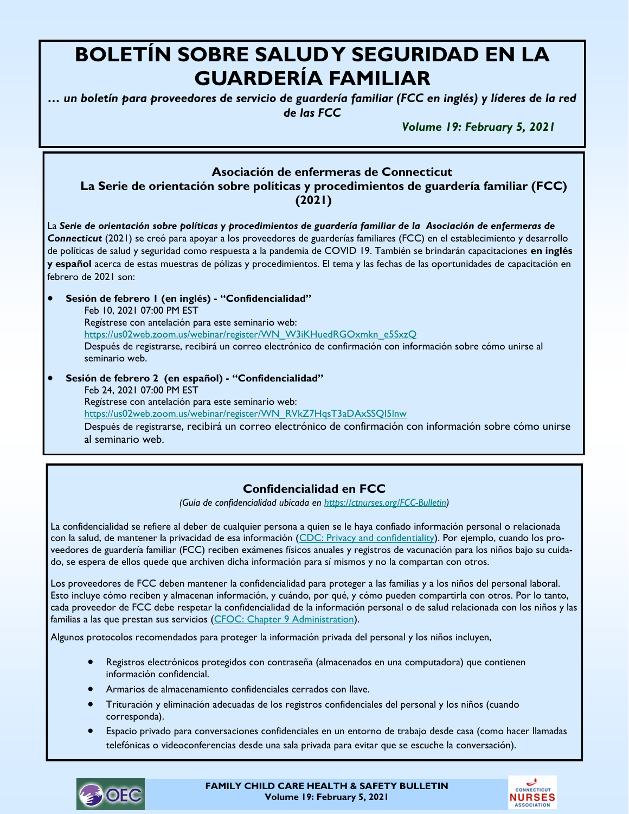# **BOLETÍN SOBRE SALUD Y SEGURIDAD EN LA GUARDERÍA FAMILIAR**

*… un boletín para proveedores de servicio de guardería familiar (FCC en inglés) y líderes de la red de las FCC*

*Volume 19: February 5, 2021*

### **Asociación de enfermeras de Connecticut**

 **La Serie de orientación sobre políticas y procedimientos de guardería familiar (FCC) (2021)** 

La *Serie de orientación sobre políticas y procedimientos de guardería familiar de la Asociación de enfermeras de Connecticut* (2021) se creó para apoyar a los proveedores de guarderías familiares (FCC) en el establecimiento y desarrollo de políticas de salud y seguridad como respuesta a la pandemia de COVID 19. También se brindarán capacitaciones **en inglés y español** acerca de estas muestras de pólizas y procedimientos. El tema y las fechas de las oportunidades de capacitación en febrero de 2021 son:

• **Sesión de febrero 1 (en inglés) - "Confidencialidad"** Feb 10, 2021 07:00 PM EST Regístrese con antelación para este seminario web: [https://us02web.zoom.us/webinar/register/WN\\_W3iKHuedRGOxmkn\\_e5SxzQ](https://us02web.zoom.us/webinar/register/WN_W3iKHuedRGOxmkn_e5SxzQ) Después de registrarse, recibirá un correo electrónico de confirmación con información sobre cómo unirse al seminario web. • **Sesión de febrero 2 (en español) - "Confidencialidad"**

Feb 24, 2021 07:00 PM EST Regístrese con antelación para este seminario web: [https://us02web.zoom.us/webinar/register/WN\\_RVkZ7HqsT3aDAxSSQI5lnw](https://us02web.zoom.us/webinar/register/WN_RVkZ7HqsT3aDAxSSQI5lnw) Después de registrarse, recibirá un correo electrónico de confirmación con información sobre cómo unirse al seminario web.

## **Confidencialidad en FCC**

*(Guía de confidencialidad ubicada en [https://ctnurses.org/FCC-Bulletin\)](https://ctnurses.org/FCC-Bulletin)*

La confidencialidad se refiere al deber de cualquier persona a quien se le haya confiado información personal o relacionada con la salud, de mantener la privacidad de esa información [\(CDC: Privacy and confidentiality\)](https://www.cdc.gov/phlp/publications/topic/healthinformationprivacy.html). Por ejemplo, cuando los proveedores de guardería familiar (FCC) reciben exámenes físicos anuales y registros de vacunación para los niños bajo su cuidado, se espera de ellos quede que archiven dicha información para sí mismos y no la compartan con otros.

Los proveedores de FCC deben mantener la confidencialidad para proteger a las familias y a los niños del personal laboral. Esto incluye cómo reciben y almacenan información, y cuándo, por qué, y cómo pueden compartirla con otros. Por lo tanto, cada proveedor de FCC debe respetar la confidencialidad de la información personal o de salud relacionada con los niños y las familias a las que prestan sus servicios [\(CFOC: Chapter 9 Administration\)](https://nrckids.org/cfoc/database/9.4.1.3).

Algunos protocolos recomendados para proteger la información privada del personal y los niños incluyen,

- Registros electrónicos protegidos con contraseña (almacenados en una computadora) que contienen información confidencial.
- Armarios de almacenamiento confidenciales cerrados con llave.
- Trituración y eliminación adecuadas de los registros confidenciales del personal y los niños (cuando corresponda).
- Espacio privado para conversaciones confidenciales en un entorno de trabajo desde casa (como hacer llamadas telefónicas o videoconferencias desde una sala privada para evitar que se escuche la conversación).



**FAMILY CHILD CARE HEALTH & SAFETY BULLETIN Volume 19: February 5, 2021**

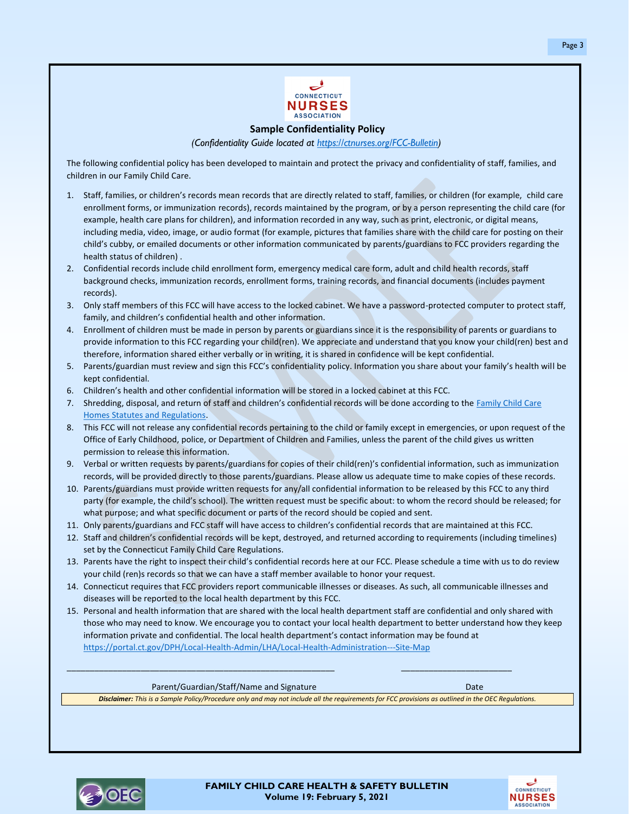

**Sample Confidentiality Policy**

*(Confidentiality Guide located at https://ctnurses.org/FCC-Bulletin)*

The following confidential policy has been developed to maintain and protect the privacy and confidentiality of staff, families, and children in our Family Child Care.

- 1. Staff, families, or children's records mean records that are directly related to staff, families, or children (for example, child care enrollment forms, or immunization records), records maintained by the program, or by a person representing the child care (for example, health care plans for children), and information recorded in any way, such as print, electronic, or digital means, including media, video, image, or audio format (for example, pictures that families share with the child care for posting on their child's cubby, or emailed documents or other information communicated by parents/guardians to FCC providers regarding the health status of children) .
- 2. Confidential records include child enrollment form, emergency medical care form, adult and child health records, staff background checks, immunization records, enrollment forms, training records, and financial documents (includes payment records).
- 3. Only staff members of this FCC will have access to the locked cabinet. We have a password-protected computer to protect staff, family, and children's confidential health and other information.
- 4. Enrollment of children must be made in person by parents or guardians since it is the responsibility of parents or guardians to provide information to this FCC regarding your child(ren). We appreciate and understand that you know your child(ren) best and therefore, information shared either verbally or in writing, it is shared in confidence will be kept confidential.
- 5. Parents/guardian must review and sign this FCC's confidentiality policy. Information you share about your family's health will be kept confidential.
- 6. Children's health and other confidential information will be stored in a locked cabinet at this FCC.
- 7. Shredding, disposal, and return of staff and children's confidential records will be done according to the Family Child Care Homes Statutes and Regulations.
- 8. This FCC will not release any confidential records pertaining to the child or family except in emergencies, or upon request of the Office of Early Childhood, police, or Department of Children and Families, unless the parent of the child gives us written permission to release this information.
- 9. Verbal or written requests by parents/guardians for copies of their child(ren)'s confidential information, such as immunization records, will be provided directly to those parents/guardians. Please allow us adequate time to make copies of these records.
- 10. Parents/guardians must provide written requests for any/all confidential information to be released by this FCC to any third party (for example, the child's school). The written request must be specific about: to whom the record should be released; for what purpose; and what specific document or parts of the record should be copied and sent.
- 11. Only parents/guardians and FCC staff will have access to children's confidential records that are maintained at this FCC.
- 12. Staff and children's confidential records will be kept, destroyed, and returned according to requirements (including timelines) set by the Connecticut Family Child Care Regulations.
- 13. Parents have the right to inspect their child's confidential records here at our FCC. Please schedule a time with us to do review your child (ren)s records so that we can have a staff member available to honor your request.
- 14. Connecticut requires that FCC providers report communicable illnesses or diseases. As such, all communicable illnesses and diseases will be reported to the local health department by this FCC.

\_\_\_\_\_\_\_\_\_\_\_\_\_\_\_\_\_\_\_\_\_\_\_\_\_\_\_\_\_\_\_\_\_\_\_\_\_\_\_\_\_\_\_\_\_\_\_\_\_\_\_\_\_\_\_\_\_\_ \_\_\_\_\_\_\_\_\_\_\_\_\_\_\_\_\_\_\_\_\_\_\_\_

15. Personal and health information that are shared with the local health department staff are confidential and only shared with those who may need to know. We encourage you to contact your local health department to better understand how they keep information private and confidential. The local health department's contact information may be found at https://portal.ct.gov/DPH/Local-Health-Admin/LHA/Local-Health-Administration---Site-Map

Parent/Guardian/Staff/Name and Signature Date Date Date Date

*Disclaimer: This is a Sample Policy/Procedure only and may not include all the requirements for FCC provisions as outlined in the OEC Regulations.*